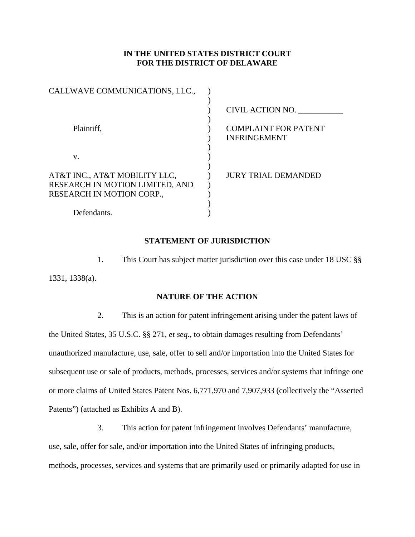# **IN THE UNITED STATES DISTRICT COURT FOR THE DISTRICT OF DELAWARE**

| CALLWAVE COMMUNICATIONS, LLC.,                                                                |                                                    |
|-----------------------------------------------------------------------------------------------|----------------------------------------------------|
|                                                                                               | CIVIL ACTION NO.                                   |
| Plaintiff,                                                                                    | <b>COMPLAINT FOR PATENT</b><br><b>INFRINGEMENT</b> |
| V.                                                                                            |                                                    |
| AT&T INC., AT&T MOBILITY LLC,<br>RESEARCH IN MOTION LIMITED, AND<br>RESEARCH IN MOTION CORP., | <b>JURY TRIAL DEMANDED</b>                         |
| Defendants.                                                                                   |                                                    |

#### **STATEMENT OF JURISDICTION**

1. This Court has subject matter jurisdiction over this case under 18 USC §§ 1331, 1338(a).

# **NATURE OF THE ACTION**

2. This is an action for patent infringement arising under the patent laws of the United States, 35 U.S.C. §§ 271, *et seq.,* to obtain damages resulting from Defendants' unauthorized manufacture, use, sale, offer to sell and/or importation into the United States for subsequent use or sale of products, methods, processes, services and/or systems that infringe one or more claims of United States Patent Nos. 6,771,970 and 7,907,933 (collectively the "Asserted Patents") (attached as Exhibits A and B).

3. This action for patent infringement involves Defendants' manufacture, use, sale, offer for sale, and/or importation into the United States of infringing products, methods, processes, services and systems that are primarily used or primarily adapted for use in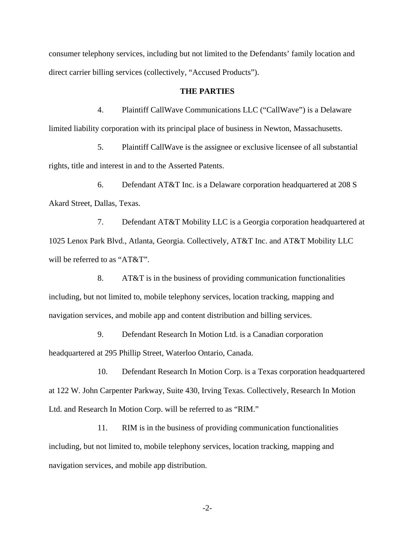consumer telephony services, including but not limited to the Defendants' family location and direct carrier billing services (collectively, "Accused Products").

#### **THE PARTIES**

4. Plaintiff CallWave Communications LLC ("CallWave") is a Delaware limited liability corporation with its principal place of business in Newton, Massachusetts.

5. Plaintiff CallWave is the assignee or exclusive licensee of all substantial rights, title and interest in and to the Asserted Patents.

6. Defendant AT&T Inc. is a Delaware corporation headquartered at 208 S Akard Street, Dallas, Texas.

7. Defendant AT&T Mobility LLC is a Georgia corporation headquartered at 1025 Lenox Park Blvd., Atlanta, Georgia. Collectively, AT&T Inc. and AT&T Mobility LLC will be referred to as "AT&T".

8. AT&T is in the business of providing communication functionalities including, but not limited to, mobile telephony services, location tracking, mapping and navigation services, and mobile app and content distribution and billing services.

9. Defendant Research In Motion Ltd. is a Canadian corporation headquartered at 295 Phillip Street, Waterloo Ontario, Canada.

10. Defendant Research In Motion Corp. is a Texas corporation headquartered at 122 W. John Carpenter Parkway, Suite 430, Irving Texas. Collectively, Research In Motion Ltd. and Research In Motion Corp. will be referred to as "RIM."

11. RIM is in the business of providing communication functionalities including, but not limited to, mobile telephony services, location tracking, mapping and navigation services, and mobile app distribution.

-2-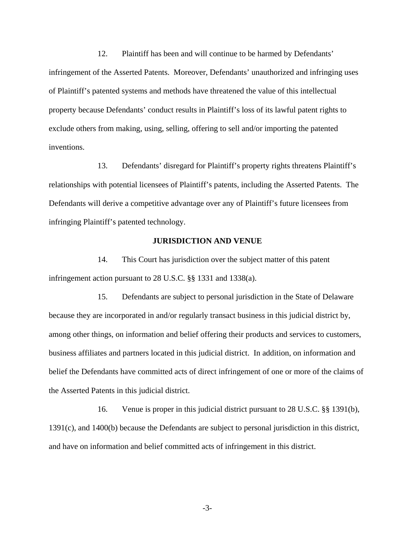12. Plaintiff has been and will continue to be harmed by Defendants' infringement of the Asserted Patents. Moreover, Defendants' unauthorized and infringing uses of Plaintiff's patented systems and methods have threatened the value of this intellectual property because Defendants' conduct results in Plaintiff's loss of its lawful patent rights to exclude others from making, using, selling, offering to sell and/or importing the patented inventions.

13. Defendants' disregard for Plaintiff's property rights threatens Plaintiff's relationships with potential licensees of Plaintiff's patents, including the Asserted Patents. The Defendants will derive a competitive advantage over any of Plaintiff's future licensees from infringing Plaintiff's patented technology.

#### **JURISDICTION AND VENUE**

14. This Court has jurisdiction over the subject matter of this patent infringement action pursuant to 28 U.S.C. §§ 1331 and 1338(a).

15. Defendants are subject to personal jurisdiction in the State of Delaware because they are incorporated in and/or regularly transact business in this judicial district by, among other things, on information and belief offering their products and services to customers, business affiliates and partners located in this judicial district. In addition, on information and belief the Defendants have committed acts of direct infringement of one or more of the claims of the Asserted Patents in this judicial district.

16. Venue is proper in this judicial district pursuant to 28 U.S.C. §§ 1391(b), 1391(c), and 1400(b) because the Defendants are subject to personal jurisdiction in this district, and have on information and belief committed acts of infringement in this district.

-3-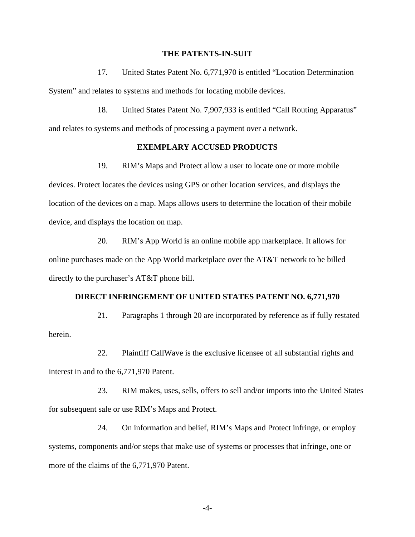#### **THE PATENTS-IN-SUIT**

17. United States Patent No. 6,771,970 is entitled "Location Determination System" and relates to systems and methods for locating mobile devices.

18. United States Patent No. 7,907,933 is entitled "Call Routing Apparatus" and relates to systems and methods of processing a payment over a network.

### **EXEMPLARY ACCUSED PRODUCTS**

19. RIM's Maps and Protect allow a user to locate one or more mobile devices. Protect locates the devices using GPS or other location services, and displays the location of the devices on a map. Maps allows users to determine the location of their mobile device, and displays the location on map.

20. RIM's App World is an online mobile app marketplace. It allows for online purchases made on the App World marketplace over the AT&T network to be billed directly to the purchaser's AT&T phone bill.

#### **DIRECT INFRINGEMENT OF UNITED STATES PATENT NO. 6,771,970**

21. Paragraphs 1 through 20 are incorporated by reference as if fully restated herein.

22. Plaintiff CallWave is the exclusive licensee of all substantial rights and interest in and to the 6,771,970 Patent.

23. RIM makes, uses, sells, offers to sell and/or imports into the United States for subsequent sale or use RIM's Maps and Protect.

24. On information and belief, RIM's Maps and Protect infringe, or employ systems, components and/or steps that make use of systems or processes that infringe, one or more of the claims of the 6,771,970 Patent.

-4-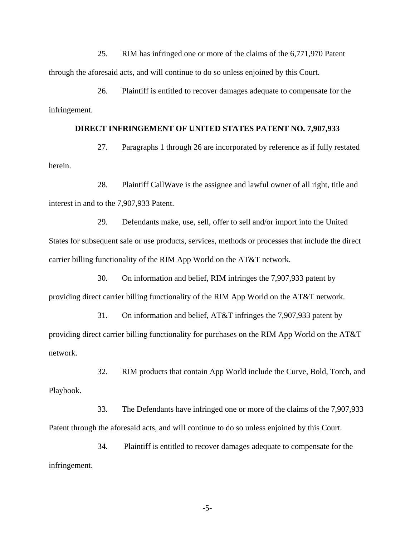25. RIM has infringed one or more of the claims of the 6,771,970 Patent through the aforesaid acts, and will continue to do so unless enjoined by this Court.

26. Plaintiff is entitled to recover damages adequate to compensate for the infringement.

# **DIRECT INFRINGEMENT OF UNITED STATES PATENT NO. 7,907,933**

27. Paragraphs 1 through 26 are incorporated by reference as if fully restated herein.

28. Plaintiff CallWave is the assignee and lawful owner of all right, title and interest in and to the 7,907,933 Patent.

29. Defendants make, use, sell, offer to sell and/or import into the United States for subsequent sale or use products, services, methods or processes that include the direct carrier billing functionality of the RIM App World on the AT&T network.

30. On information and belief, RIM infringes the 7,907,933 patent by providing direct carrier billing functionality of the RIM App World on the AT&T network.

31. On information and belief, AT&T infringes the 7,907,933 patent by providing direct carrier billing functionality for purchases on the RIM App World on the AT&T network.

32. RIM products that contain App World include the Curve, Bold, Torch, and Playbook.

33. The Defendants have infringed one or more of the claims of the 7,907,933 Patent through the aforesaid acts, and will continue to do so unless enjoined by this Court.

34. Plaintiff is entitled to recover damages adequate to compensate for the infringement.

-5-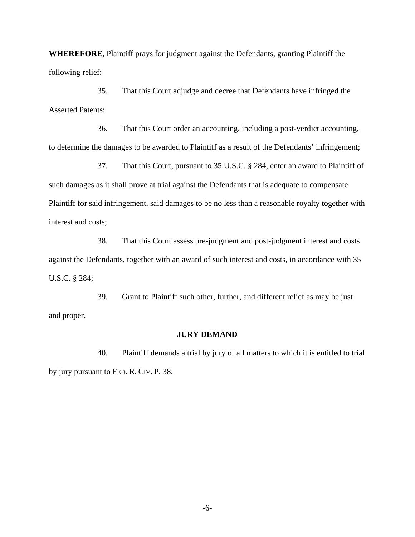**WHEREFORE**, Plaintiff prays for judgment against the Defendants, granting Plaintiff the following relief:

35. That this Court adjudge and decree that Defendants have infringed the Asserted Patents;

36. That this Court order an accounting, including a post-verdict accounting, to determine the damages to be awarded to Plaintiff as a result of the Defendants' infringement;

37. That this Court, pursuant to 35 U.S.C. § 284, enter an award to Plaintiff of such damages as it shall prove at trial against the Defendants that is adequate to compensate Plaintiff for said infringement, said damages to be no less than a reasonable royalty together with interest and costs;

38. That this Court assess pre-judgment and post-judgment interest and costs against the Defendants, together with an award of such interest and costs, in accordance with 35 U.S.C. § 284;

39. Grant to Plaintiff such other, further, and different relief as may be just and proper.

## **JURY DEMAND**

40. Plaintiff demands a trial by jury of all matters to which it is entitled to trial by jury pursuant to FED. R. CIV. P. 38.

-6-